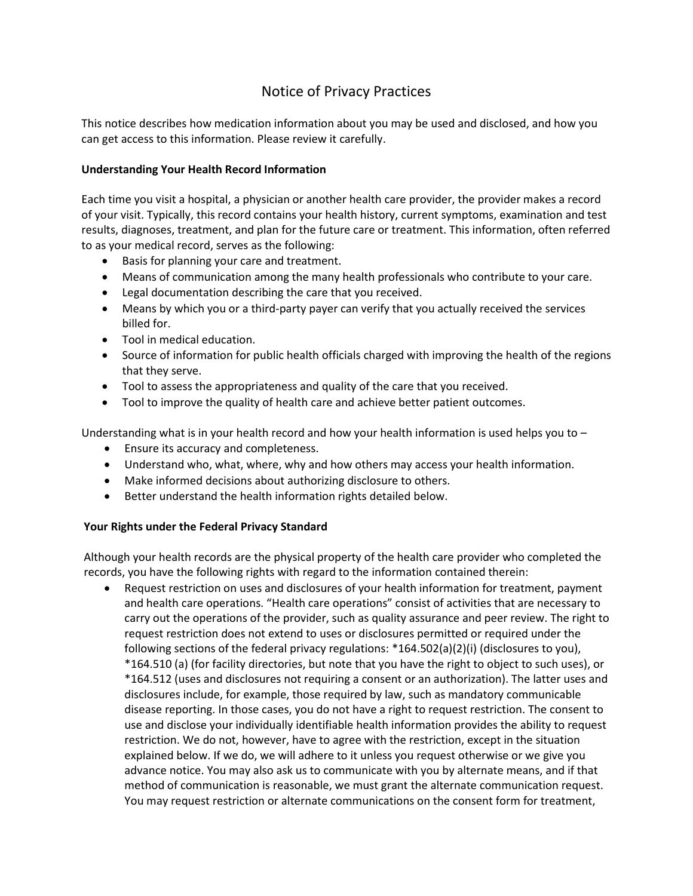## Notice of Privacy Practices

This notice describes how medication information about you may be used and disclosed, and how you can get access to this information. Please review it carefully.

## **Understanding Your Health Record Information**

Each time you visit a hospital, a physician or another health care provider, the provider makes a record of your visit. Typically, this record contains your health history, current symptoms, examination and test results, diagnoses, treatment, and plan for the future care or treatment. This information, often referred to as your medical record, serves as the following:

- Basis for planning your care and treatment.
- Means of communication among the many health professionals who contribute to your care.
- Legal documentation describing the care that you received.
- Means by which you or a third-party payer can verify that you actually received the services billed for.
- Tool in medical education.
- Source of information for public health officials charged with improving the health of the regions that they serve.
- Tool to assess the appropriateness and quality of the care that you received.
- Tool to improve the quality of health care and achieve better patient outcomes.

Understanding what is in your health record and how your health information is used helps you to –

- **Ensure its accuracy and completeness.**
- Understand who, what, where, why and how others may access your health information.
- Make informed decisions about authorizing disclosure to others.
- Better understand the health information rights detailed below.

## **Your Rights under the Federal Privacy Standard**

Although your health records are the physical property of the health care provider who completed the records, you have the following rights with regard to the information contained therein:

 Request restriction on uses and disclosures of your health information for treatment, payment and health care operations. "Health care operations" consist of activities that are necessary to carry out the operations of the provider, such as quality assurance and peer review. The right to request restriction does not extend to uses or disclosures permitted or required under the following sections of the federal privacy regulations: \*164.502(a)(2)(i) (disclosures to you), \*164.510 (a) (for facility directories, but note that you have the right to object to such uses), or \*164.512 (uses and disclosures not requiring a consent or an authorization). The latter uses and disclosures include, for example, those required by law, such as mandatory communicable disease reporting. In those cases, you do not have a right to request restriction. The consent to use and disclose your individually identifiable health information provides the ability to request restriction. We do not, however, have to agree with the restriction, except in the situation explained below. If we do, we will adhere to it unless you request otherwise or we give you advance notice. You may also ask us to communicate with you by alternate means, and if that method of communication is reasonable, we must grant the alternate communication request. You may request restriction or alternate communications on the consent form for treatment,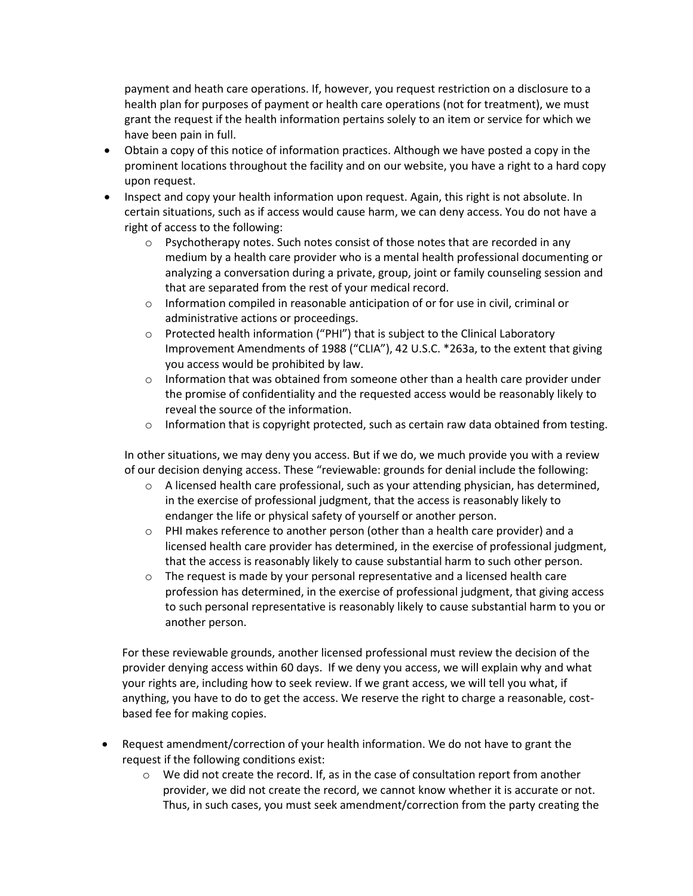payment and heath care operations. If, however, you request restriction on a disclosure to a health plan for purposes of payment or health care operations (not for treatment), we must grant the request if the health information pertains solely to an item or service for which we have been pain in full.

- Obtain a copy of this notice of information practices. Although we have posted a copy in the prominent locations throughout the facility and on our website, you have a right to a hard copy upon request.
- Inspect and copy your health information upon request. Again, this right is not absolute. In certain situations, such as if access would cause harm, we can deny access. You do not have a right of access to the following:
	- $\circ$  Psychotherapy notes. Such notes consist of those notes that are recorded in any medium by a health care provider who is a mental health professional documenting or analyzing a conversation during a private, group, joint or family counseling session and that are separated from the rest of your medical record.
	- $\circ$  Information compiled in reasonable anticipation of or for use in civil, criminal or administrative actions or proceedings.
	- $\circ$  Protected health information ("PHI") that is subject to the Clinical Laboratory Improvement Amendments of 1988 ("CLIA"), 42 U.S.C. \*263a, to the extent that giving you access would be prohibited by law.
	- $\circ$  Information that was obtained from someone other than a health care provider under the promise of confidentiality and the requested access would be reasonably likely to reveal the source of the information.
	- $\circ$  Information that is copyright protected, such as certain raw data obtained from testing.

In other situations, we may deny you access. But if we do, we much provide you with a review of our decision denying access. These "reviewable: grounds for denial include the following:

- $\circ$  A licensed health care professional, such as your attending physician, has determined, in the exercise of professional judgment, that the access is reasonably likely to endanger the life or physical safety of yourself or another person.
- o PHI makes reference to another person (other than a health care provider) and a licensed health care provider has determined, in the exercise of professional judgment, that the access is reasonably likely to cause substantial harm to such other person.
- $\circ$  The request is made by your personal representative and a licensed health care profession has determined, in the exercise of professional judgment, that giving access to such personal representative is reasonably likely to cause substantial harm to you or another person.

For these reviewable grounds, another licensed professional must review the decision of the provider denying access within 60 days. If we deny you access, we will explain why and what your rights are, including how to seek review. If we grant access, we will tell you what, if anything, you have to do to get the access. We reserve the right to charge a reasonable, costbased fee for making copies.

- Request amendment/correction of your health information. We do not have to grant the request if the following conditions exist:
	- $\circ$  We did not create the record. If, as in the case of consultation report from another provider, we did not create the record, we cannot know whether it is accurate or not. Thus, in such cases, you must seek amendment/correction from the party creating the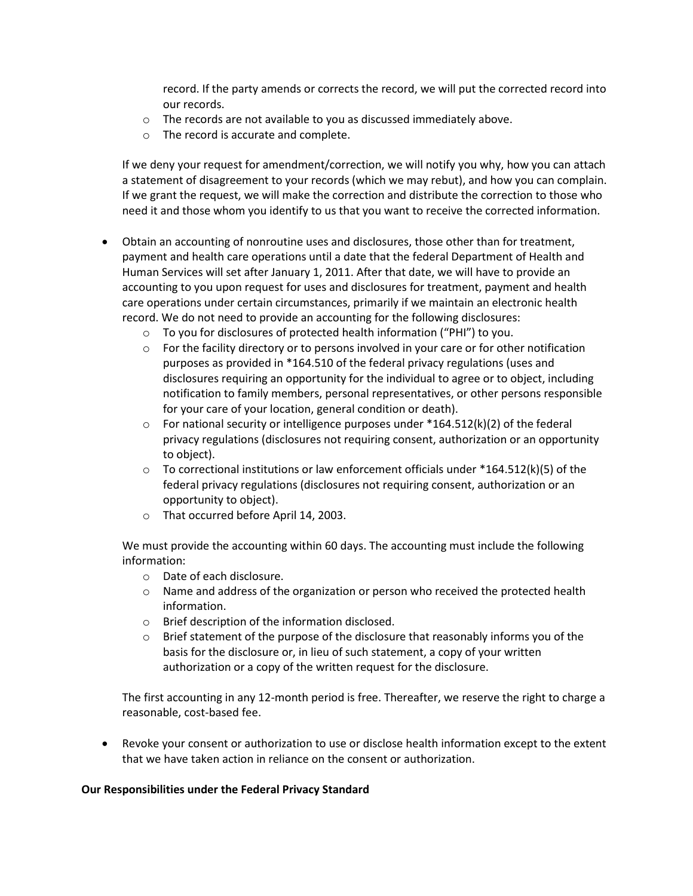record. If the party amends or corrects the record, we will put the corrected record into our records.

- o The records are not available to you as discussed immediately above.
- o The record is accurate and complete.

If we deny your request for amendment/correction, we will notify you why, how you can attach a statement of disagreement to your records (which we may rebut), and how you can complain. If we grant the request, we will make the correction and distribute the correction to those who need it and those whom you identify to us that you want to receive the corrected information.

- Obtain an accounting of nonroutine uses and disclosures, those other than for treatment, payment and health care operations until a date that the federal Department of Health and Human Services will set after January 1, 2011. After that date, we will have to provide an accounting to you upon request for uses and disclosures for treatment, payment and health care operations under certain circumstances, primarily if we maintain an electronic health record. We do not need to provide an accounting for the following disclosures:
	- o To you for disclosures of protected health information ("PHI") to you.
	- $\circ$  For the facility directory or to persons involved in your care or for other notification purposes as provided in \*164.510 of the federal privacy regulations (uses and disclosures requiring an opportunity for the individual to agree or to object, including notification to family members, personal representatives, or other persons responsible for your care of your location, general condition or death).
	- $\circ$  For national security or intelligence purposes under \*164.512(k)(2) of the federal privacy regulations (disclosures not requiring consent, authorization or an opportunity to object).
	- $\circ$  To correctional institutions or law enforcement officials under \*164.512(k)(5) of the federal privacy regulations (disclosures not requiring consent, authorization or an opportunity to object).
	- o That occurred before April 14, 2003.

We must provide the accounting within 60 days. The accounting must include the following information:

- o Date of each disclosure.
- $\circ$  Name and address of the organization or person who received the protected health information.
- o Brief description of the information disclosed.
- $\circ$  Brief statement of the purpose of the disclosure that reasonably informs you of the basis for the disclosure or, in lieu of such statement, a copy of your written authorization or a copy of the written request for the disclosure.

The first accounting in any 12-month period is free. Thereafter, we reserve the right to charge a reasonable, cost-based fee.

 Revoke your consent or authorization to use or disclose health information except to the extent that we have taken action in reliance on the consent or authorization.

## **Our Responsibilities under the Federal Privacy Standard**